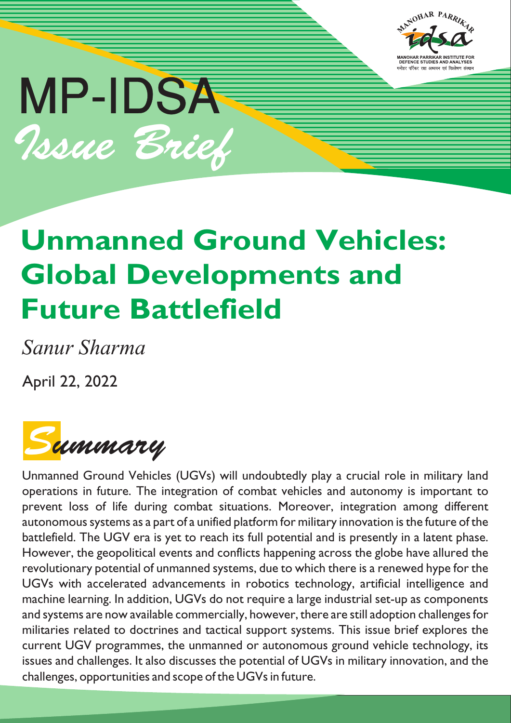

# MP-IDSA Issue Brief

## **Unmanned Ground Vehicles: Global Developments and Future Battlefield**

*Sanur Sharma*

April 22, 2022

Summary

Unmanned Ground Vehicles (UGVs) will undoubtedly play a crucial role in military land operations in future. The integration of combat vehicles and autonomy is important to prevent loss of life during combat situations. Moreover, integration among different autonomous systems as a part of a unified platform for military innovation is the future of the battlefield. The UGV era is yet to reach its full potential and is presently in a latent phase. However, the geopolitical events and conflicts happening across the globe have allured the revolutionary potential of unmanned systems, due to which there is a renewed hype for the UGVs with accelerated advancements in robotics technology, artificial intelligence and machine learning. In addition, UGVs do not require a large industrial set-up as components and systems are now available commercially, however, there are still adoption challenges for militaries related to doctrines and tactical support systems. This issue brief explores the current UGV programmes, the unmanned or autonomous ground vehicle technology, its issues and challenges. It also discusses the potential of UGVs in military innovation, and the challenges, opportunities and scope of the UGVs in future.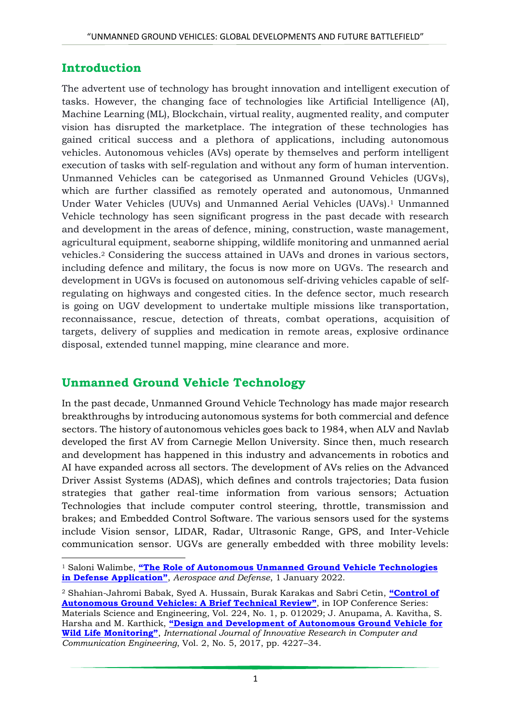#### **Introduction**

The advertent use of technology has brought innovation and intelligent execution of tasks. However, the changing face of technologies like Artificial Intelligence (AI), Machine Learning (ML), Blockchain, virtual reality, augmented reality, and computer vision has disrupted the marketplace. The integration of these technologies has gained critical success and a plethora of applications, including autonomous vehicles. Autonomous vehicles (AVs) operate by themselves and perform intelligent execution of tasks with self-regulation and without any form of human intervention. Unmanned Vehicles can be categorised as Unmanned Ground Vehicles (UGVs), which are further classified as remotely operated and autonomous, Unmanned Under Water Vehicles (UUVs) and Unmanned Aerial Vehicles (UAVs). <sup>1</sup> Unmanned Vehicle technology has seen significant progress in the past decade with research and development in the areas of defence, mining, construction, waste management, agricultural equipment, seaborne shipping, wildlife monitoring and unmanned aerial vehicles.<sup>2</sup> Considering the success attained in UAVs and drones in various sectors, including defence and military, the focus is now more on UGVs. The research and development in UGVs is focused on autonomous self-driving vehicles capable of selfregulating on highways and congested cities. In the defence sector, much research is going on UGV development to undertake multiple missions like transportation, reconnaissance, rescue, detection of threats, combat operations, acquisition of targets, delivery of supplies and medication in remote areas, explosive ordinance disposal, extended tunnel mapping, mine clearance and more.

#### **Unmanned Ground Vehicle Technology**

In the past decade, Unmanned Ground Vehicle Technology has made major research breakthroughs by introducing autonomous systems for both commercial and defence sectors. The history of autonomous vehicles goes back to 1984, when ALV and Navlab developed the first AV from Carnegie Mellon University. Since then, much research and development has happened in this industry and advancements in robotics and AI have expanded across all sectors. The development of AVs relies on the Advanced Driver Assist Systems (ADAS), which defines and controls trajectories; Data fusion strategies that gather real-time information from various sensors; Actuation Technologies that include computer control steering, throttle, transmission and brakes; and Embedded Control Software. The various sensors used for the systems include Vision sensor, LIDAR, Radar, Ultrasonic Range, GPS, and Inter-Vehicle communication sensor. UGVs are generally embedded with three mobility levels:

**<sup>.</sup>** <sup>1</sup> Saloni Walimbe, **"The Role of Autonomous [Unmanned Ground Vehicle Technologies](https://www.aerodefensetech.com/component/content/article/adt/features/articles/37888)  [in Defense Application"](https://www.aerodefensetech.com/component/content/article/adt/features/articles/37888)**, *Aerospace and Defense*, 1 January 2022.

<sup>2</sup> Shahian-Jahromi Babak, Syed A. Hussain, Burak Karakas and Sabri Cetin, **"[Control of](https://iopscience.iop.org/article/10.1088/1757-899X/224/1/012029)  [Autonomous Ground Vehicles: A Brief Technical Review](https://iopscience.iop.org/article/10.1088/1757-899X/224/1/012029)"**, in IOP Conference Series: Materials Science and Engineering, Vol. 224, No. 1, p. 012029; J. Anupama, A. Kavitha, S. Harsha and M. Karthick, **["Design and Development of Autonomous Ground Vehicle for](https://www.rroij.com/open-access/design-and-development-of-autonomousground-vehicle-for-wild-life-monitoring.pdf)  [Wild Life Monitoring"](https://www.rroij.com/open-access/design-and-development-of-autonomousground-vehicle-for-wild-life-monitoring.pdf)**, *International Journal of Innovative Research in Computer and Communication Engineering*, Vol. 2, No. 5, 2017, pp. 4227–34.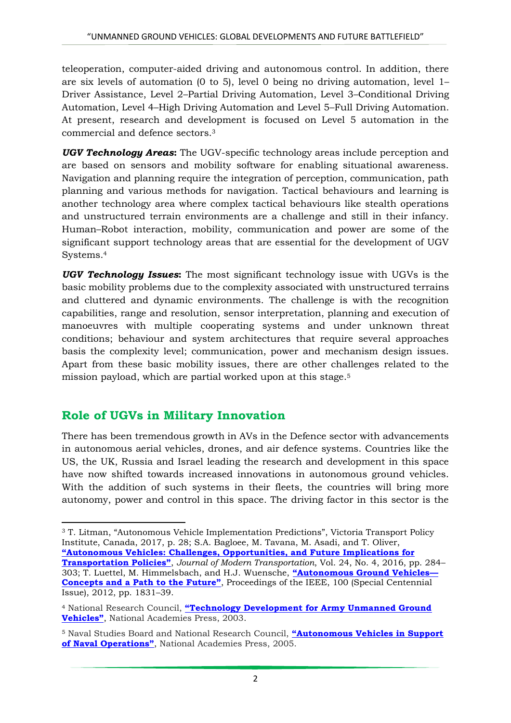teleoperation, computer-aided driving and autonomous control. In addition, there are six levels of automation (0 to 5), level 0 being no driving automation, level 1– Driver Assistance, Level 2–Partial Driving Automation, Level 3–Conditional Driving Automation, Level 4–High Driving Automation and Level 5–Full Driving Automation. At present, research and development is focused on Level 5 automation in the commercial and defence sectors.<sup>3</sup>

*UGV Technology Areas***:** The UGV-specific technology areas include perception and are based on sensors and mobility software for enabling situational awareness. Navigation and planning require the integration of perception, communication, path planning and various methods for navigation. Tactical behaviours and learning is another technology area where complex tactical behaviours like stealth operations and unstructured terrain environments are a challenge and still in their infancy. Human–Robot interaction, mobility, communication and power are some of the significant support technology areas that are essential for the development of UGV Systems.<sup>4</sup>

*UGV Technology Issues***:** The most significant technology issue with UGVs is the basic mobility problems due to the complexity associated with unstructured terrains and cluttered and dynamic environments. The challenge is with the recognition capabilities, range and resolution, sensor interpretation, planning and execution of manoeuvres with multiple cooperating systems and under unknown threat conditions; behaviour and system architectures that require several approaches basis the complexity level; communication, power and mechanism design issues. Apart from these basic mobility issues, there are other challenges related to the mission payload, which are partial worked upon at this stage.<sup>5</sup>

#### **Role of UGVs in Military Innovation**

**.** 

There has been tremendous growth in AVs in the Defence sector with advancements in autonomous aerial vehicles, drones, and air defence systems. Countries like the US, the UK, Russia and Israel leading the research and development in this space have now shifted towards increased innovations in autonomous ground vehicles. With the addition of such systems in their fleets, the countries will bring more autonomy, power and control in this space. The driving factor in this sector is the

<sup>3</sup> T. Litman, "Autonomous Vehicle Implementation Predictions", Victoria Transport Policy Institute, Canada, 2017, p. 28; S.A. Bagloee, M. Tavana, M. Asadi, and T. Oliver, **["Autonomous Vehicles: Challenges, Opportunities, and Future Implications for](https://link.springer.com/article/10.1007/s40534-016-0117-3)  [Transportation Policies"](https://link.springer.com/article/10.1007/s40534-016-0117-3)**, *Journal of Modern Transportation*, Vol. 24, No. 4, 2016, pp. 284– 303; T. Luettel, M. Himmelsbach, and H.J. Wuensche, **["Autonomous Ground Vehicles—](https://ieeexplore.ieee.org/document/6179503) [Concepts and a Path to the Future"](https://ieeexplore.ieee.org/document/6179503)**, Proceedings of the IEEE, 100 (Special Centennial Issue), 2012, pp. 1831–39.

<sup>4</sup> National Research Council, **["Technology Development for Army Unmanned Ground](https://nap.nationalacademies.org/read/10592/chapter/1)  [Vehicles"](https://nap.nationalacademies.org/read/10592/chapter/1)**, National Academies Press, 2003.

<sup>5</sup> Naval Studies Board and National Research Council, **["Autonomous Vehicles in Support](https://nap.nationalacademies.org/read/11379/chapter/8)  [of Naval Operations"](https://nap.nationalacademies.org/read/11379/chapter/8)**, National Academies Press, 2005.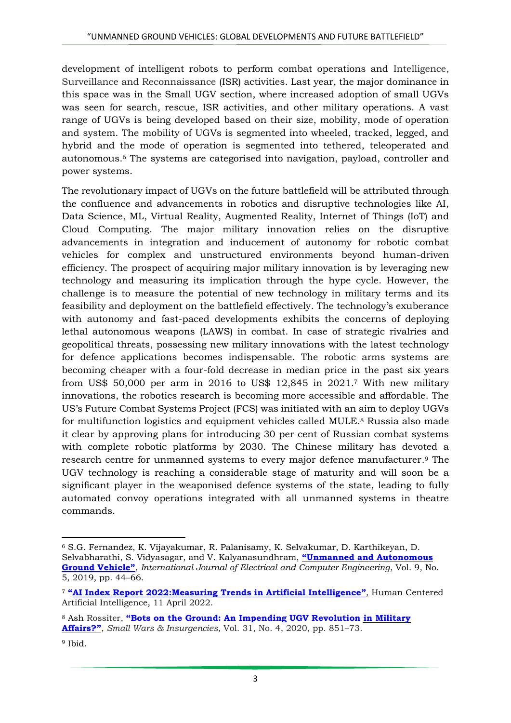development of intelligent robots to perform combat operations and Intelligence, Surveillance and Reconnaissance (ISR) activities. Last year, the major dominance in this space was in the Small UGV section, where increased adoption of small UGVs was seen for search, rescue, ISR activities, and other military operations. A vast range of UGVs is being developed based on their size, mobility, mode of operation and system. The mobility of UGVs is segmented into wheeled, tracked, legged, and hybrid and the mode of operation is segmented into tethered, teleoperated and autonomous.<sup>6</sup> The systems are categorised into navigation, payload, controller and power systems.

The revolutionary impact of UGVs on the future battlefield will be attributed through the confluence and advancements in robotics and disruptive technologies like AI, Data Science, ML, Virtual Reality, Augmented Reality, Internet of Things (IoT) and Cloud Computing. The major military innovation relies on the disruptive advancements in integration and inducement of autonomy for robotic combat vehicles for complex and unstructured environments beyond human-driven efficiency. The prospect of acquiring major military innovation is by leveraging new technology and measuring its implication through the hype cycle. However, the challenge is to measure the potential of new technology in military terms and its feasibility and deployment on the battlefield effectively. The technology's exuberance with autonomy and fast-paced developments exhibits the concerns of deploying lethal autonomous weapons (LAWS) in combat. In case of strategic rivalries and geopolitical threats, possessing new military innovations with the latest technology for defence applications becomes indispensable. The robotic arms systems are becoming cheaper with a four-fold decrease in median price in the past six years from US\$ 50,000 per arm in 2016 to US\$ 12,845 in 2021.<sup>7</sup> With new military innovations, the robotics research is becoming more accessible and affordable. The US's Future Combat Systems Project (FCS) was initiated with an aim to deploy UGVs for multifunction logistics and equipment vehicles called MULE.<sup>8</sup> Russia also made it clear by approving plans for introducing 30 per cent of Russian combat systems with complete robotic platforms by 2030. The Chinese military has devoted a research centre for unmanned systems to every major defence manufacturer. <sup>9</sup> The UGV technology is reaching a considerable stage of maturity and will soon be a significant player in the weaponised defence systems of the state, leading to fully automated convoy operations integrated with all unmanned systems in theatre commands.

**<sup>.</sup>** <sup>6</sup> S.G. Fernandez, K. Vijayakumar, R. Palanisamy, K. Selvakumar, D. Karthikeyan, D. Selvabharathi, S. Vidyasagar, and V. Kalyanasundhram, **["Unmanned and Autonomous](http://ijece.iaescore.com/index.php/IJECE/article/view/13086)  [Ground Vehicle"](http://ijece.iaescore.com/index.php/IJECE/article/view/13086)**, *International Journal of Electrical and Computer Engineering*, Vol. 9, No. 5, 2019, pp. 44–66.

<sup>7</sup> **"[AI Index Report 2022:Measuring Trends in Artificial Intelligence](https://aiindex.stanford.edu/report/)"**, Human Centered Artificial Intelligence, 11 April 2022.

<sup>8</sup> Ash Rossiter, **"[Bots on the Ground: An Impending UGV Revolution in Military](https://www.tandfonline.com/doi/abs/10.1080/09592318.2020.1743484?tab=permissions&scroll=top)  [Affairs?](https://www.tandfonline.com/doi/abs/10.1080/09592318.2020.1743484?tab=permissions&scroll=top)"**, *Small Wars & Insurgencies,* Vol. 31, No. 4, 2020, pp. 851–73.

<sup>&</sup>lt;sup>9</sup> Ibid.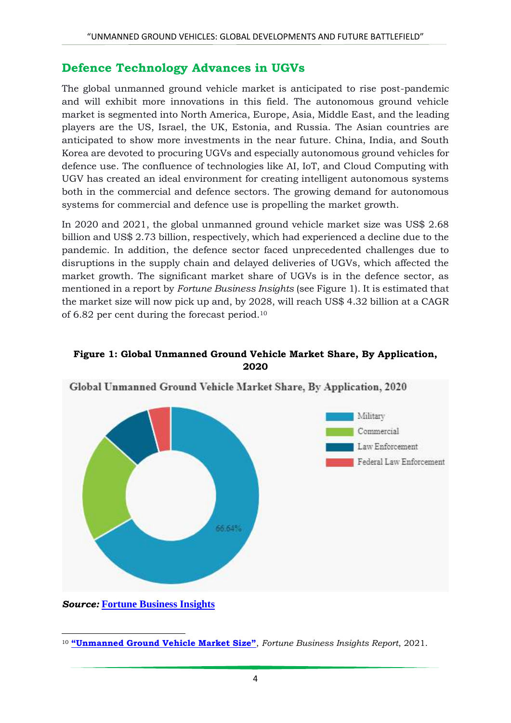#### **Defence Technology Advances in UGVs**

The global unmanned ground vehicle market is anticipated to rise post-pandemic and will exhibit more innovations in this field. The autonomous ground vehicle market is segmented into North America, Europe, Asia, Middle East, and the leading players are the US, Israel, the UK, Estonia, and Russia. The Asian countries are anticipated to show more investments in the near future. China, India, and South Korea are devoted to procuring UGVs and especially autonomous ground vehicles for defence use. The confluence of technologies like AI, IoT, and Cloud Computing with UGV has created an ideal environment for creating intelligent autonomous systems both in the commercial and defence sectors. The growing demand for autonomous systems for commercial and defence use is propelling the market growth.

In 2020 and 2021, the global unmanned ground vehicle market size was US\$ 2.68 billion and US\$ 2.73 billion, respectively, which had experienced a decline due to the pandemic. In addition, the defence sector faced unprecedented challenges due to disruptions in the supply chain and delayed deliveries of UGVs, which affected the market growth. The significant market share of UGVs is in the defence sector, as mentioned in a report by *Fortune Business Insights* (see Figure 1). It is estimated that the market size will now pick up and, by 2028, will reach US\$ 4.32 billion at a CAGR of 6.82 per cent during the forecast period.<sup>10</sup>

#### **Figure 1: Global Unmanned Ground Vehicle Market Share, By Application, 2020**



Global Unmanned Ground Vehicle Market Share, By Application, 2020

*Source:* **[Fortune Business Insights](https://www.fortunebusinessinsights.com/unmanned-ground-vehicles-market-102525)**

<sup>1</sup> <sup>10</sup> **["Unmanned Ground Vehicle Market Size"](https://www.fortunebusinessinsights.com/unmanned-ground-vehicles-market-102525)**, *Fortune Business Insights Report*, 2021.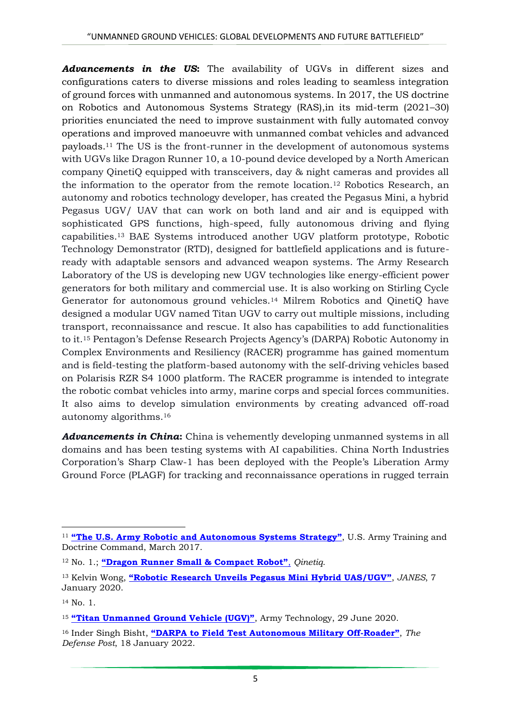*Advancements in the US***:** The availability of UGVs in different sizes and configurations caters to diverse missions and roles leading to seamless integration of ground forces with unmanned and autonomous systems. In 2017, the US doctrine on Robotics and Autonomous Systems Strategy (RAS),in its mid-term (2021–30) priorities enunciated the need to improve sustainment with fully automated convoy operations and improved manoeuvre with unmanned combat vehicles and advanced payloads.<sup>11</sup> The US is the front-runner in the development of autonomous systems with UGVs like Dragon Runner 10, a 10-pound device developed by a North American company QinetiQ equipped with transceivers, day & night cameras and provides all the information to the operator from the remote location.<sup>12</sup> Robotics Research, an autonomy and robotics technology developer, has created the Pegasus Mini, a hybrid Pegasus UGV/ UAV that can work on both land and air and is equipped with sophisticated GPS functions, high-speed, fully autonomous driving and flying capabilities.<sup>13</sup> BAE Systems introduced another UGV platform prototype, Robotic Technology Demonstrator (RTD), designed for battlefield applications and is futureready with adaptable sensors and advanced weapon systems. The Army Research Laboratory of the US is developing new UGV technologies like energy-efficient power generators for both military and commercial use. It is also working on Stirling Cycle Generator for autonomous ground vehicles.<sup>14</sup> Milrem Robotics and QinetiQ have designed a modular UGV named Titan UGV to carry out multiple missions, including transport, reconnaissance and rescue. It also has capabilities to add functionalities to it.<sup>15</sup> Pentagon's Defense Research Projects Agency's (DARPA) Robotic Autonomy in Complex Environments and Resiliency (RACER) programme has gained momentum and is field-testing the platform-based autonomy with the self-driving vehicles based on Polarisis RZR S4 1000 platform. The RACER programme is intended to integrate the robotic combat vehicles into army, marine corps and special forces communities. It also aims to develop simulation environments by creating advanced off-road autonomy algorithms.<sup>16</sup>

*Advancements in China***:** China is vehemently developing unmanned systems in all domains and has been testing systems with AI capabilities. China North Industries Corporation's Sharp Claw-1 has been deployed with the People's Liberation Army Ground Force (PLAGF) for tracking and reconnaissance operations in rugged terrain

**.** 

<sup>&</sup>lt;sup>11</sup> ["The U.S. Army Robotic and Autonomous Systems Strategy"](https://mronline.org/wp-content/uploads/2018/02/RAS_Strategy.pdf), U.S. Army Training and Doctrine Command, March 2017.

<sup>12</sup> No. 1.; **["Dragon Runner Small & Compact Robot"](https://www.qinetiq.com/en-us/what-we-do/services-and-products/dragon-runner-small-and-compact-robot)**, *Qinetiq*.

<sup>13</sup> Kelvin Wong, **"[Robotic Research Unveils Pegasus Mini Hybrid UAS/UGV](https://www.janes.com/defence-news/news-detail/robotic-research-unveils-pegasus-mini-hybrid-uasugv)"**, *JANES*, 7 January 2020.

<sup>14</sup> No. 1.

<sup>15</sup> **["Titan Unmanned Ground Vehicle \(UGV\)"](file:///C:/Users/vaijayanti.IDSA/Downloads/army-technology.com/projects/titan-unmanned-ground-vehicle-ugv/)**, Army Technology, 29 June 2020.

<sup>16</sup> Inder Singh Bisht, **["DARPA to Field Test Autonomous Military Off](https://www.thedefensepost.com/2022/01/18/darpa-test-auto-off-roader/)-Roader"**, *The Defense Post*, 18 January 2022.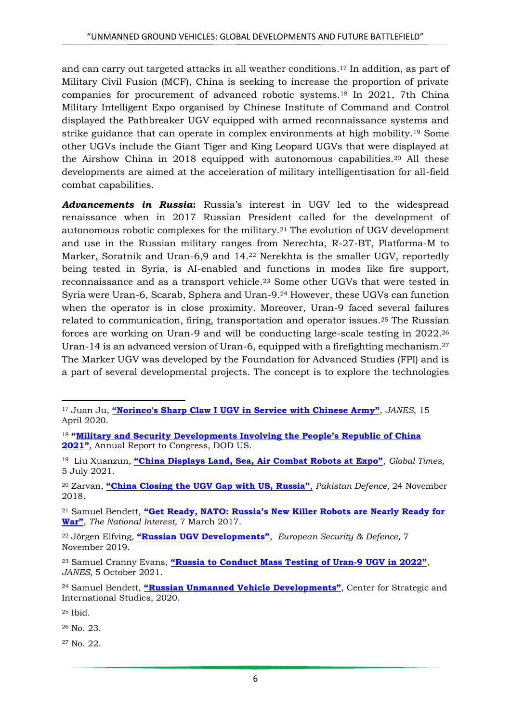and can carry out targeted attacks in all weather conditions. <sup>17</sup> In addition, as part of Military Civil Fusion (MCF), China is seeking to increase the proportion of private companies for procurement of advanced robotic systems.<sup>18</sup> In 2021, 7th China Military Intelligent Expo organised by Chinese Institute of Command and Control displayed the Pathbreaker UGV equipped with armed reconnaissance systems and strike guidance that can operate in complex environments at high mobility.<sup>19</sup> Some other UGVs include the Giant Tiger and King Leopard UGVs that were displayed at the Airshow China in 2018 equipped with autonomous capabilities.<sup>20</sup> All these developments are aimed at the acceleration of military intelligentisation for all-field combat capabilities.

*Advancements in Russia***:** Russia's interest in UGV led to the widespread renaissance when in 2017 Russian President called for the development of autonomous robotic complexes for the military.<sup>21</sup> The evolution of UGV development and use in the Russian military ranges from Nerechta, R-27-BT, Platforma-M to Marker, Soratnik and Uran-6,9 and 14.<sup>22</sup> Nerekhta is the smaller UGV, reportedly being tested in Syria, is AI-enabled and functions in modes like fire support, reconnaissance and as a transport vehicle.<sup>23</sup> Some other UGVs that were tested in Syria were Uran-6, Scarab, Sphera and Uran-9.<sup>24</sup> However, these UGVs can function when the operator is in close proximity. Moreover, Uran-9 faced several failures related to communication, firing, transportation and operator issues.<sup>25</sup> The Russian forces are working on Uran-9 and will be conducting large-scale testing in 2022.<sup>26</sup> Uran-14 is an advanced version of Uran-6, equipped with a firefighting mechanism.<sup>27</sup> The Marker UGV was developed by the Foundation for Advanced Studies (FPI) and is a part of several developmental projects. The concept is to explore the technologies

<sup>25</sup> Ibid.

<sup>26</sup> No. 23.

<sup>27</sup> No. 22.

<sup>1</sup> <sup>17</sup> Juan Ju, **["Norinco's Sharp Claw I UGV in Service](https://www.janes.com/defence-news/news-detail/norincos-sharp-claw-i-ugv-in-service-with-chinese-army) with Chinese Army"**, *JANES*, 15 April 2020.

<sup>18</sup> **["Military and Security Developments Involving the People's Republic of China](https://media.defense.gov/2021/Nov/03/2002885874/-1/-1/0/2021-CMPR-FINAL.PDF)  [2021](https://media.defense.gov/2021/Nov/03/2002885874/-1/-1/0/2021-CMPR-FINAL.PDF)"**, Annual Report to Congress, DOD US.

<sup>19</sup> Liu Xuanzun, **["China Displays Land, Sea, Air Combat Robots at Expo"](https://www.globaltimes.cn/page/202107/1227901.shtml)**, *Global Times,*  5 July 2021.

<sup>20</sup> Zarvan, **["China Closing the UGV Gap with US, Russia"](https://defence.pk/pdf/threads/china-closing-the-ugv-gap-with-us-russia.588399/)**, *Pakistan Defence,* 24 November 2018.

<sup>21</sup> Samuel Bendett, **["Get Ready, NATO: Russia's New Killer Robots are Nearly Ready for](https://nationalinterest.org/blog/the-buzz/russias-new-killer-robots-are-nearly-ready-war-19698)  [War"](https://nationalinterest.org/blog/the-buzz/russias-new-killer-robots-are-nearly-ready-war-19698)**, *The National Interest,* 7 March 2017.

<sup>22</sup> Jörgen Elfving, **["Russian UGV Developments"](https://euro-sd.com/2019/11/articles/15193/russian-ugv-developments/)**, *European Security & Defence,* 7 November 2019.

<sup>23</sup> Samuel Cranny Evans, **["Russia to Conduct Mass Testing of Uran](https://www.janes.com/defence-news/news-detail/russia-to-conduct-mass-testing-of-uran-9-ugv-in-2022)-9 UGV in 2022"**, *JANES,* 5 October 2021.

<sup>24</sup> Samuel Bendett, **["Russian Unmanned Vehicle Developments"](https://www.jstor.org/stable/pdf/resrep24241.9.pdf)**, Center for Strategic and International Studies, 2020.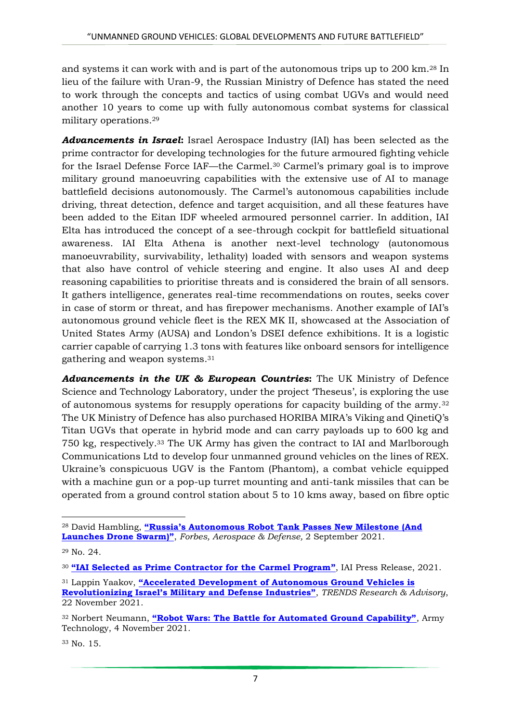and systems it can work with and is part of the autonomous trips up to 200 km.<sup>28</sup> In lieu of the failure with Uran-9, the Russian Ministry of Defence has stated the need to work through the concepts and tactics of using combat UGVs and would need another 10 years to come up with fully autonomous combat systems for classical military operations.<sup>29</sup>

*Advancements in Israel***:** Israel Aerospace Industry (IAI) has been selected as the prime contractor for developing technologies for the future armoured fighting vehicle for the Israel Defense Force IAF—the Carmel.<sup>30</sup> Carmel's primary goal is to improve military ground manoeuvring capabilities with the extensive use of AI to manage battlefield decisions autonomously. The Carmel's autonomous capabilities include driving, threat detection, defence and target acquisition, and all these features have been added to the Eitan IDF wheeled armoured personnel carrier. In addition, IAI Elta has introduced the concept of a see-through cockpit for battlefield situational awareness. IAI Elta Athena is another next-level technology (autonomous manoeuvrability, survivability, lethality) loaded with sensors and weapon systems that also have control of vehicle steering and engine. It also uses AI and deep reasoning capabilities to prioritise threats and is considered the brain of all sensors. It gathers intelligence, generates real-time recommendations on routes, seeks cover in case of storm or threat, and has firepower mechanisms. Another example of IAI's autonomous ground vehicle fleet is the REX MK II, showcased at the Association of United States Army (AUSA) and London's DSEI defence exhibitions. It is a logistic carrier capable of carrying 1.3 tons with features like onboard sensors for intelligence gathering and weapon systems. 31

*Advancements in the UK & European Countries***:** The UK Ministry of Defence Science and Technology Laboratory, under the project 'Theseus', is exploring the use of autonomous systems for resupply operations for capacity building of the army.<sup>32</sup> The UK Ministry of Defence has also purchased HORIBA MIRA's Viking and QinetiQ's Titan UGVs that operate in hybrid mode and can carry payloads up to 600 kg and 750 kg, respectively.<sup>33</sup> The UK Army has given the contract to IAI and Marlborough Communications Ltd to develop four unmanned ground vehicles on the lines of REX. Ukraine's conspicuous UGV is the Fantom (Phantom), a combat vehicle equipped with a machine gun or a pop-up turret mounting and anti-tank missiles that can be operated from a ground control station about 5 to 10 kms away, based on fibre optic

1

<sup>33</sup> No. 15.

<sup>28</sup> David Hambling, **["Russia's Autonomous Robot Tank Passes New Milestone \(And](https://www.forbes.com/sites/davidhambling/2021/09/02/russias-autonomous-robot-tank-passes-new-milestone-and-launches-drone-swarm/?sh=5bf52d8221fa)  [Launches Drone Swarm\)"](https://www.forbes.com/sites/davidhambling/2021/09/02/russias-autonomous-robot-tank-passes-new-milestone-and-launches-drone-swarm/?sh=5bf52d8221fa)**, *Forbes, Aerospace & Defense,* 2 September 2021.

<sup>29</sup> No. 24.

<sup>30</sup> **["IAI Selected as Prime Contractor for the Carmel Program"](https://www.iai.co.il/iai-selected-as-prime-contractor-for-carmel-program)**, IAI Press Release, 2021.

<sup>31</sup> Lappin Yaakov, **["Accelerated Development of Autonomous Ground Vehicles is](https://trendsresearch.org/insight/accelerated-development-of-autonomous-ground-vehicles-is-revolutionizing-israels-military-and-defense-industries/)  [Revolutionizing Israel's Military and Defense Industries"](https://trendsresearch.org/insight/accelerated-development-of-autonomous-ground-vehicles-is-revolutionizing-israels-military-and-defense-industries/)**, *TRENDS Research & Advisory*, 22 November 2021.

<sup>32</sup> Norbert Neumann, **["Robot Wars: The Battle for Automated Ground Capability"](https://www.army-technology.com/analysis/robot-ugv-automate-uncrewed-ground-vehicles/)**, Army Technology, 4 November 2021.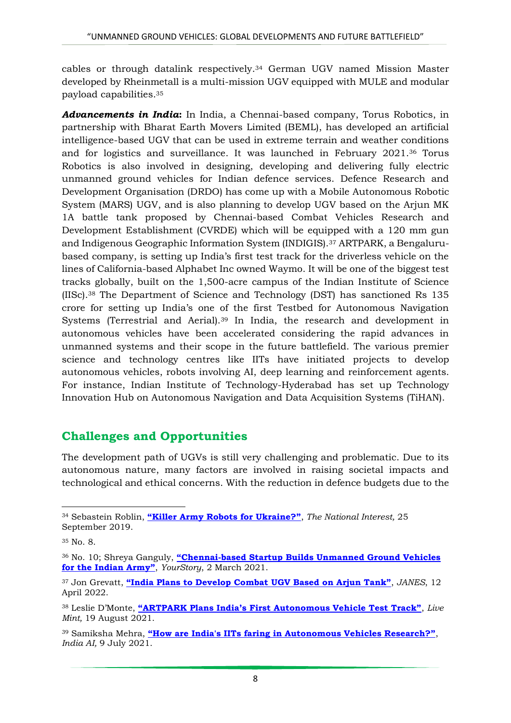cables or through datalink respectively.<sup>34</sup> German UGV named Mission Master developed by Rheinmetall is a multi-mission UGV equipped with MULE and modular payload capabilities.<sup>35</sup>

*Advancements in India***:** In India, a Chennai-based company, Torus Robotics, in partnership with Bharat Earth Movers Limited (BEML), has developed an artificial intelligence-based UGV that can be used in extreme terrain and weather conditions and for logistics and surveillance. It was launched in February 2021.<sup>36</sup> Torus Robotics is also involved in designing, developing and delivering fully electric unmanned ground vehicles for Indian defence services. Defence Research and Development Organisation (DRDO) has come up with a Mobile Autonomous Robotic System (MARS) UGV, and is also planning to develop UGV based on the Arjun MK 1A battle tank proposed by Chennai-based Combat Vehicles Research and Development Establishment (CVRDE) which will be equipped with a 120 mm gun and Indigenous Geographic Information System (INDIGIS).<sup>37</sup> ARTPARK, a Bengalurubased company, is setting up India's first test track for the driverless vehicle on the lines of California-based Alphabet Inc owned Waymo. It will be one of the biggest test tracks globally, built on the 1,500-acre campus of the Indian Institute of Science (IISc).<sup>38</sup> The Department of Science and Technology (DST) has sanctioned Rs 135 crore for setting up India's one of the first Testbed for Autonomous Navigation Systems (Terrestrial and Aerial).<sup>39</sup> In India, the research and development in autonomous vehicles have been accelerated considering the rapid advances in unmanned systems and their scope in the future battlefield. The various premier science and technology centres like IITs have initiated projects to develop autonomous vehicles, robots involving AI, deep learning and reinforcement agents. For instance, Indian Institute of Technology-Hyderabad has set up Technology Innovation Hub on Autonomous Navigation and Data Acquisition Systems (TiHAN).

### **Challenges and Opportunities**

The development path of UGVs is still very challenging and problematic. Due to its autonomous nature, many factors are involved in raising societal impacts and technological and ethical concerns. With the reduction in defence budgets due to the

**<sup>.</sup>** <sup>34</sup> Sebastein Roblin, **["Killer Army Robots for Ukraine?"](https://nationalinterest.org/blog/buzz/killer-army-robots-ukraine-83216)**, *The National Interest,* 25 September 2019.

<sup>35</sup> No. 8.

<sup>36</sup> No. 10; Shreya Ganguly, **"Chennai[-based Startup Builds Unmanned Ground Vehicles](https://yourstory.com/2021/03/chennai-defence-tech-startup-builds-unmanned-underground-vehicles/amp%20accessed%20on%204-1-2021)  [for the Indian Army"](https://yourstory.com/2021/03/chennai-defence-tech-startup-builds-unmanned-underground-vehicles/amp%20accessed%20on%204-1-2021)**, *YourStory*, 2 March 2021.

<sup>37</sup> Jon Grevatt, **["India Plans to Develop Combat UGV Based on Arjun Tank"](https://www.janes.com/defence-news/defence/latest/india-plans-to-develop-combat-ugv-based-on-arjun-tank)**, *JANES*, 12 April 2022.

<sup>38</sup> Leslie D'Monte, **["ARTPARK Plans India's First Autonomous Vehicle Test Track"](https://www.livemint.com/auto-news/artpark-plans-india-s-first-autonomous-vehicle-test-track-11629312464755.html)**, *Live Mint,* 19 August 2021.

<sup>39</sup> Samiksha Mehra, **["How are India's IITs faring in Autonomous Vehicles Research?"](https://indiaai.gov.in/article/how-are-india-s-iits-faring-in-autonomous-vehicles-research)**, *India AI,* 9 July 2021.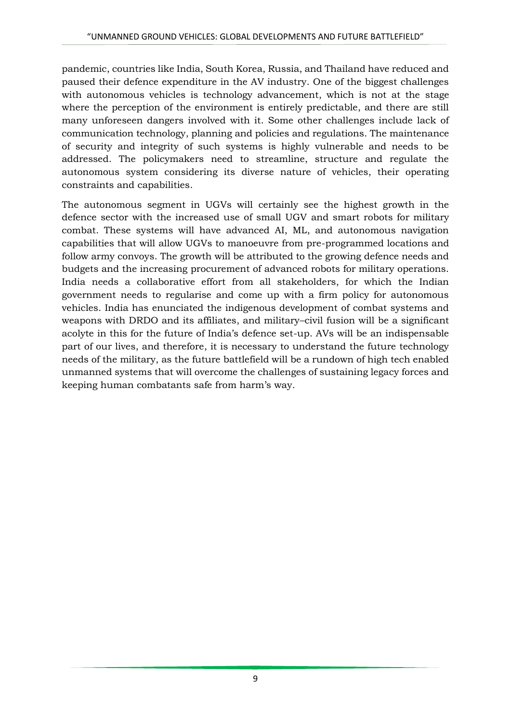pandemic, countries like India, South Korea, Russia, and Thailand have reduced and paused their defence expenditure in the AV industry. One of the biggest challenges with autonomous vehicles is technology advancement, which is not at the stage where the perception of the environment is entirely predictable, and there are still many unforeseen dangers involved with it. Some other challenges include lack of communication technology, planning and policies and regulations. The maintenance of security and integrity of such systems is highly vulnerable and needs to be addressed. The policymakers need to streamline, structure and regulate the autonomous system considering its diverse nature of vehicles, their operating constraints and capabilities.

The autonomous segment in UGVs will certainly see the highest growth in the defence sector with the increased use of small UGV and smart robots for military combat. These systems will have advanced AI, ML, and autonomous navigation capabilities that will allow UGVs to manoeuvre from pre-programmed locations and follow army convoys. The growth will be attributed to the growing defence needs and budgets and the increasing procurement of advanced robots for military operations. India needs a collaborative effort from all stakeholders, for which the Indian government needs to regularise and come up with a firm policy for autonomous vehicles. India has enunciated the indigenous development of combat systems and weapons with DRDO and its affiliates, and military–civil fusion will be a significant acolyte in this for the future of India's defence set-up. AVs will be an indispensable part of our lives, and therefore, it is necessary to understand the future technology needs of the military, as the future battlefield will be a rundown of high tech enabled unmanned systems that will overcome the challenges of sustaining legacy forces and keeping human combatants safe from harm's way.